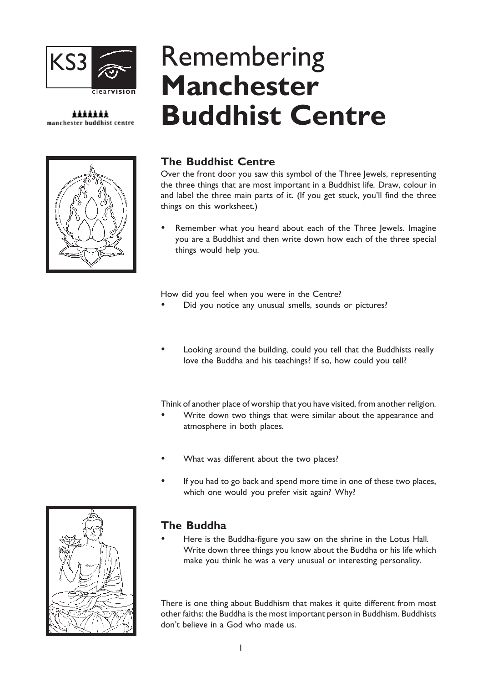

#### \*\*\*\*\*\*\* manchester buddhist centre



# The Buddhist Centre

Remembering

Manchester

Over the front door you saw this symbol of the Three Jewels, representing the three things that are most important in a Buddhist life. Draw, colour in and label the three main parts of it. (If you get stuck, you'll find the three things on this worksheet.)

 Remember what you heard about each of the Three Jewels. Imagine you are a Buddhist and then write down how each of the three special things would help you.

How did you feel when you were in the Centre?

Did you notice any unusual smells, sounds or pictures?

Buddhist Centre

 Looking around the building, could you tell that the Buddhists really love the Buddha and his teachings? If so, how could you tell?

Think of another place of worship that you have visited, from another religion.

- Write down two things that were similar about the appearance and atmosphere in both places.
- What was different about the two places?
- If you had to go back and spend more time in one of these two places, which one would you prefer visit again? Why?



## The Buddha

 Here is the Buddha-figure you saw on the shrine in the Lotus Hall. Write down three things you know about the Buddha or his life which make you think he was a very unusual or interesting personality.

There is one thing about Buddhism that makes it quite different from most other faiths: the Buddha is the most important person in Buddhism. Buddhists don't believe in a God who made us.